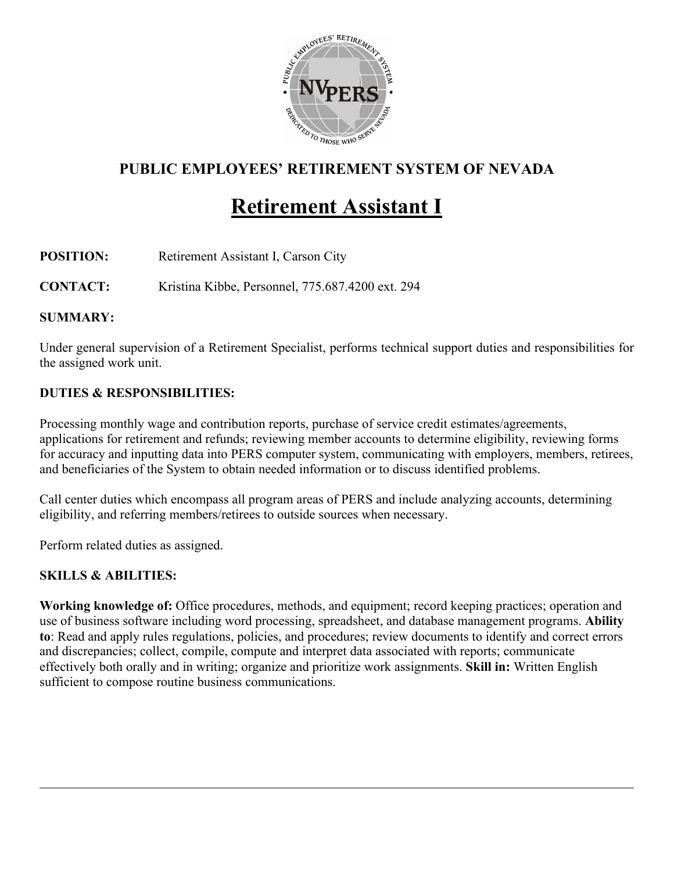

# **PUBLIC EMPLOYEES' RETIREMENT SYSTEM OF NEVADA**

# **Retirement Assistant I**

**POSITION:** Retirement Assistant I, Carson City

**CONTACT:** Kristina Kibbe, Personnel, 775.687.4200 ext. 294

#### **SUMMARY:**

Under general supervision of a Retirement Specialist, performs technical support duties and responsibilities for the assigned work unit.

### **DUTIES & RESPONSIBILITIES:**

Processing monthly wage and contribution reports, purchase of service credit estimates/agreements, applications for retirement and refunds; reviewing member accounts to determine eligibility, reviewing forms for accuracy and inputting data into PERS computer system, communicating with employers, members, retirees, and beneficiaries of the System to obtain needed information or to discuss identified problems.

Call center duties which encompass all program areas of PERS and include analyzing accounts, determining eligibility, and referring members/retirees to outside sources when necessary.

Perform related duties as assigned.

### **SKILLS & ABILITIES:**

**Working knowledge of:** Office procedures, methods, and equipment; record keeping practices; operation and use of business software including word processing, spreadsheet, and database management programs. **Ability to**: Read and apply rules regulations, policies, and procedures; review documents to identify and correct errors and discrepancies; collect, compile, compute and interpret data associated with reports; communicate effectively both orally and in writing; organize and prioritize work assignments. **Skill in:** Written English sufficient to compose routine business communications.